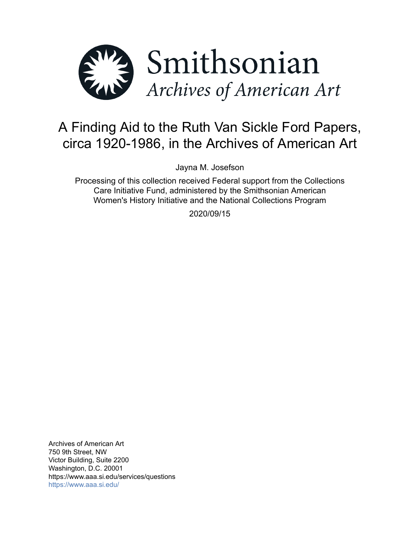

# A Finding Aid to the Ruth Van Sickle Ford Papers, circa 1920-1986, in the Archives of American Art

Jayna M. Josefson

Processing of this collection received Federal support from the Collections Care Initiative Fund, administered by the Smithsonian American Women's History Initiative and the National Collections Program

2020/09/15

Archives of American Art 750 9th Street, NW Victor Building, Suite 2200 Washington, D.C. 20001 https://www.aaa.si.edu/services/questions <https://www.aaa.si.edu/>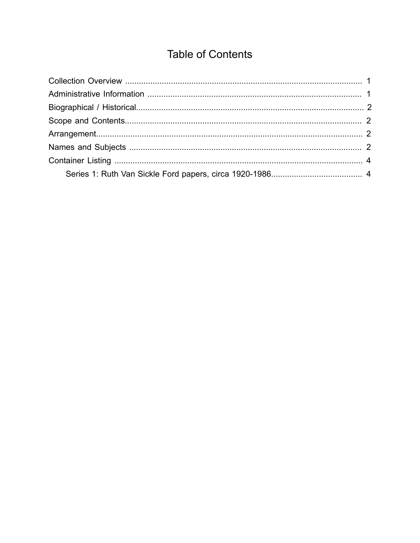## **Table of Contents**

<span id="page-1-0"></span>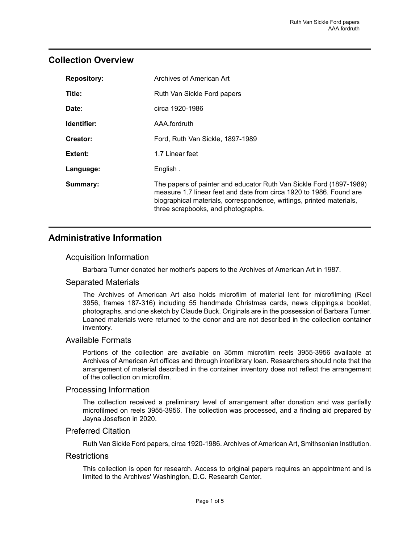## <span id="page-2-0"></span>**Collection Overview**

| <b>Repository:</b> | Archives of American Art                                                                                                                                                                                                                                 |
|--------------------|----------------------------------------------------------------------------------------------------------------------------------------------------------------------------------------------------------------------------------------------------------|
| Title:             | Ruth Van Sickle Ford papers                                                                                                                                                                                                                              |
| Date:              | circa 1920-1986                                                                                                                                                                                                                                          |
| Identifier:        | AAA fordruth                                                                                                                                                                                                                                             |
| Creator:           | Ford, Ruth Van Sickle, 1897-1989                                                                                                                                                                                                                         |
| Extent:            | 1.7 Linear feet                                                                                                                                                                                                                                          |
| Language:          | English.                                                                                                                                                                                                                                                 |
| Summary:           | The papers of painter and educator Ruth Van Sickle Ford (1897-1989)<br>measure 1.7 linear feet and date from circa 1920 to 1986. Found are<br>biographical materials, correspondence, writings, printed materials,<br>three scrapbooks, and photographs. |

## <span id="page-2-1"></span>**Administrative Information**

#### Acquisition Information

Barbara Turner donated her mother's papers to the Archives of American Art in 1987.

#### Separated Materials

The Archives of American Art also holds microfilm of material lent for microfilming (Reel 3956, frames 187-316) including 55 handmade Christmas cards, news clippings,a booklet, photographs, and one sketch by Claude Buck. Originals are in the possession of Barbara Turner. Loaned materials were returned to the donor and are not described in the collection container inventory.

#### Available Formats

Portions of the collection are available on 35mm microfilm reels 3955-3956 available at Archives of American Art offices and through interlibrary loan. Researchers should note that the arrangement of material described in the container inventory does not reflect the arrangement of the collection on microfilm.

#### Processing Information

The collection received a preliminary level of arrangement after donation and was partially microfilmed on reels 3955-3956. The collection was processed, and a finding aid prepared by Jayna Josefson in 2020.

#### Preferred Citation

Ruth Van Sickle Ford papers, circa 1920-1986. Archives of American Art, Smithsonian Institution.

#### **Restrictions**

This collection is open for research. Access to original papers requires an appointment and is limited to the Archives' Washington, D.C. Research Center.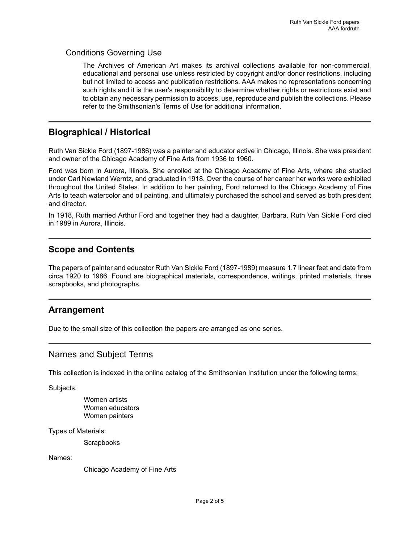#### Conditions Governing Use

The Archives of American Art makes its archival collections available for non-commercial, educational and personal use unless restricted by copyright and/or donor restrictions, including but not limited to access and publication restrictions. AAA makes no representations concerning such rights and it is the user's responsibility to determine whether rights or restrictions exist and to obtain any necessary permission to access, use, reproduce and publish the collections. Please refer to the Smithsonian's Terms of Use for additional information.

## <span id="page-3-0"></span>**Biographical / Historical**

Ruth Van Sickle Ford (1897-1986) was a painter and educator active in Chicago, Illinois. She was president and owner of the Chicago Academy of Fine Arts from 1936 to 1960.

Ford was born in Aurora, Illinois. She enrolled at the Chicago Academy of Fine Arts, where she studied under Carl Newland Werntz, and graduated in 1918. Over the course of her career her works were exhibited throughout the United States. In addition to her painting, Ford returned to the Chicago Academy of Fine Arts to teach watercolor and oil painting, and ultimately purchased the school and served as both president and director.

In 1918, Ruth married Arthur Ford and together they had a daughter, Barbara. Ruth Van Sickle Ford died in 1989 in Aurora, Illinois.

## <span id="page-3-1"></span>**Scope and Contents**

The papers of painter and educator Ruth Van Sickle Ford (1897-1989) measure 1.7 linear feet and date from circa 1920 to 1986. Found are biographical materials, correspondence, writings, printed materials, three scrapbooks, and photographs.

#### <span id="page-3-2"></span>**Arrangement**

Due to the small size of this collection the papers are arranged as one series.

#### <span id="page-3-3"></span>Names and Subject Terms

This collection is indexed in the online catalog of the Smithsonian Institution under the following terms:

Subjects:

Women artists Women educators Women painters

Types of Materials:

**Scrapbooks** 

Names:

Chicago Academy of Fine Arts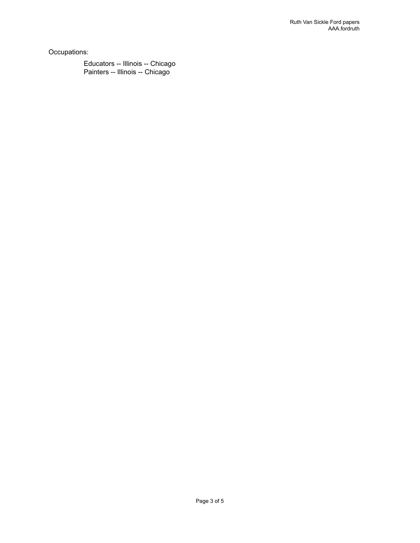Occupations:

Educators -- Illinois -- Chicago Painters -- Illinois -- Chicago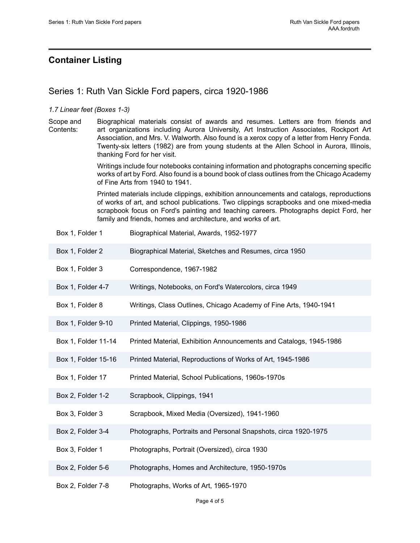## <span id="page-5-0"></span>**Container Listing**

## <span id="page-5-1"></span>Series 1: Ruth Van Sickle Ford papers, circa 1920-1986

#### *1.7 Linear feet (Boxes 1-3)*

Scope and Contents: Biographical materials consist of awards and resumes. Letters are from friends and art organizations including Aurora University, Art Instruction Associates, Rockport Art Association, and Mrs. V. Walworth. Also found is a xerox copy of a letter from Henry Fonda. Twenty-six letters (1982) are from young students at the Allen School in Aurora, Illinois, thanking Ford for her visit.

> Writings include four notebooks containing information and photographs concerning specific works of art by Ford. Also found is a bound book of class outlines from the Chicago Academy of Fine Arts from 1940 to 1941.

> Printed materials include clippings, exhibition announcements and catalogs, reproductions of works of art, and school publications. Two clippings scrapbooks and one mixed-media scrapbook focus on Ford's painting and teaching careers. Photographs depict Ford, her family and friends, homes and architecture, and works of art.

|  | Box 1, Folder 1 | Biographical Material, Awards, 1952-1977 |
|--|-----------------|------------------------------------------|
|--|-----------------|------------------------------------------|

- Box 1, Folder 2 Biographical Material, Sketches and Resumes, circa 1950
- Box 1, Folder 3 Correspondence, 1967-1982
- Box 1, Folder 4-7 Writings, Notebooks, on Ford's Watercolors, circa 1949
- Box 1, Folder 8 Writings, Class Outlines, Chicago Academy of Fine Arts, 1940-1941
- Box 1, Folder 9-10 Printed Material, Clippings, 1950-1986
- Box 1, Folder 11-14 Printed Material, Exhibition Announcements and Catalogs, 1945-1986
- Box 1, Folder 15-16 Printed Material, Reproductions of Works of Art, 1945-1986
- Box 1, Folder 17 **Printed Material, School Publications, 1960s-1970s**
- Box 2, Folder 1-2 Scrapbook, Clippings, 1941
- Box 3, Folder 3 Scrapbook, Mixed Media (Oversized), 1941-1960
- Box 2, Folder 3-4 Photographs, Portraits and Personal Snapshots, circa 1920-1975
- Box 3, Folder 1 Photographs, Portrait (Oversized), circa 1930
- Box 2, Folder 5-6 Photographs, Homes and Architecture, 1950-1970s
- Box 2, Folder 7-8 Photographs, Works of Art, 1965-1970